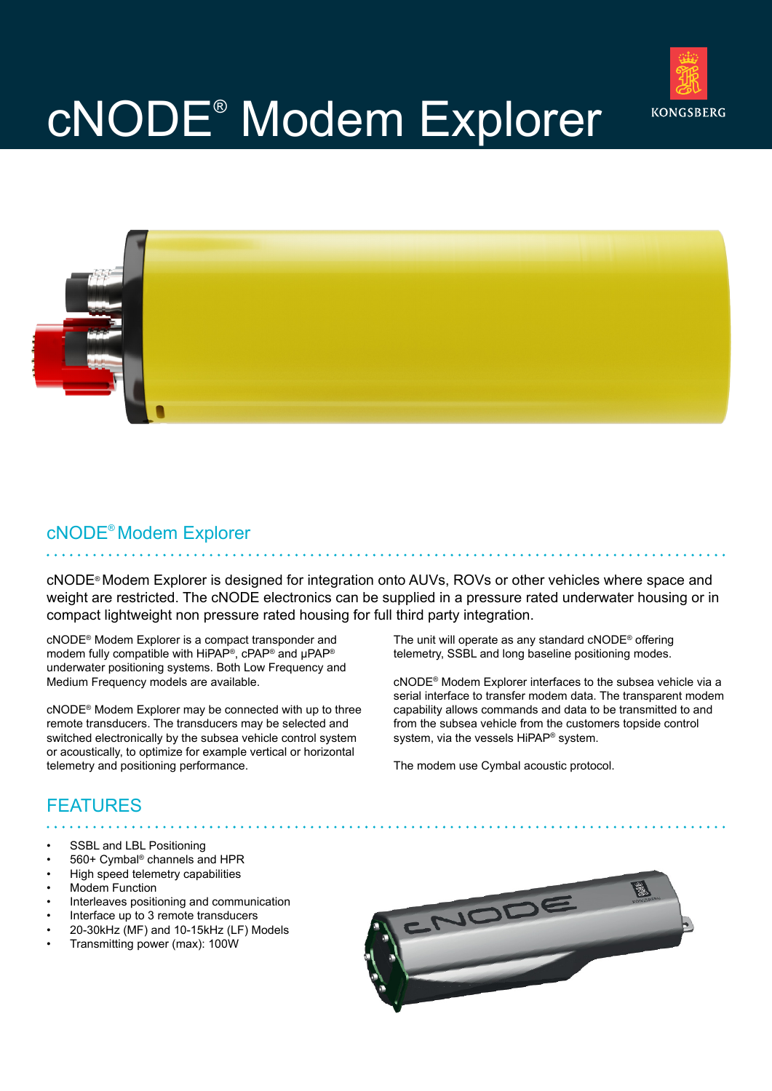

# cNODE® Modem Explorer



#### cNODE® Modem Explorer

cNODE® Modem Explorer is designed for integration onto AUVs, ROVs or other vehicles where space and weight are restricted. The cNODE electronics can be supplied in a pressure rated underwater housing or in compact lightweight non pressure rated housing for full third party integration.

cNODE® Modem Explorer is a compact transponder and modem fully compatible with HiPAP®, cPAP® and μPAP® underwater positioning systems. Both Low Frequency and Medium Frequency models are available.

cNODE® Modem Explorer may be connected with up to three remote transducers. The transducers may be selected and switched electronically by the subsea vehicle control system or acoustically, to optimize for example vertical or horizontal telemetry and positioning performance.

The unit will operate as any standard cNODE® offering telemetry, SSBL and long baseline positioning modes.

cNODE® Modem Explorer interfaces to the subsea vehicle via a serial interface to transfer modem data. The transparent modem capability allows commands and data to be transmitted to and from the subsea vehicle from the customers topside control system, via the vessels HiPAP<sup>®</sup> system.

The modem use Cymbal acoustic protocol.

### FEATURES

- SSBL and LBL Positioning
- 560+ Cymbal® channels and HPR
- High speed telemetry capabilities
- Modem Function
- Interleaves positioning and communication
- Interface up to 3 remote transducers
- 20-30kHz (MF) and 10-15kHz (LF) Models
- Transmitting power (max): 100W